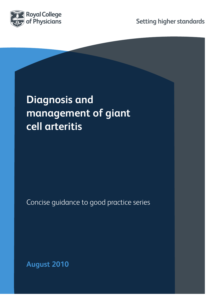

**Setting higher standards**

# **Diagnosis and management of giant cell arteritis**

Concise guidance to good practice series

**August 2010**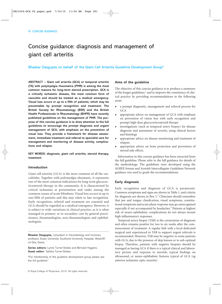## Concise guidance: diagnosis and management of giant cell arteritis

#### Bhaskar Dasgupta on behalf of the Giant Cell Arteritis Guideline Development Group\*

**ABSTRACT – Giant cell arteritis (GCA) or temporal arteritis (TA) with polymyalgia rheumatica (PMR) is among the most common reasons for long-term steroid prescription. GCA is a critically ischaemic disease, the most common form of vasculitis and should be treated as a medical emergency. Visual loss occurs in up to a fifth of patients, which may be preventable by prompt recognition and treatment. The British Society for Rheumatology (BSR) and the British Health Professionals in Rheumatology (BHPR) have recently published guidelines on the management of PMR. The purpose of this concise guidance is to draw attention to the full guidelines to encourage the prompt diagnosis and urgent management of GCA, with emphasis on the prevention of visual loss. They provide a framework for disease assessment, immediate treatment and referral to specialist care for management and monitoring of disease activity, complications and relapse.** 

#### **KEY WORDS: diagnosis, giant cell arteritis, steroid therapy, treatment**

#### **Introduction**

Giant cell arteritis (GCA) is the most common of all the vasculitides. Together with polymyalgia rheumatic, it represents one of the most common indications for long-term glucocorticosteroid therapy in the community. It is characterised by critical ischaemia at presentation and ranks among the common causes of acute blindness. Visual loss occurs in up to one-fifth of patients and this may relate to late recognition. Early recognition, referral and treatment are essential and GCA should be regarded as a medical emergency. However, it is subject to wide variations in clinical practice, as it is often managed in primary or in secondary care by general practitioners, rheumatologists, non-rheumatologists and ophthalmologists.

**Bhaskar Dasgupta,** consultant in rheumatology and honorary professor, Essex University Southend University Hospital, Westcliffon-Sea, Essex;

**Series editors:** Lynne Turner-Stokes and Bernard Higgens; **Guest editor:** Tabitha Turner-Stokes

\*For membership of the guideline development group please see the full quideline<sup>1</sup>

Information in this concise guidance has been extracted from the full guideline. Please refer to the full guidance for details of the methodology. The guidelines were developed using the AGREE format and Scottish Intercollegiate Guidelines Network guidance was used to grade the recommendations.

The objective of this concise guidance is to produce a summary of the longer guidelines,<sup>1</sup> and to improve the consistency of clinical practice by providing recommendations in the following

• a prompt diagnostic, management and referral process for

prompt high-dose glucocorticosteroid therapy

appropriate advice on management of GCA with emphasis on prevention of vision loss with early recognition and

investigations (such as temporal artery biopsy) for disease diagnosis and assessment of severity, using clinical factors

appropriate advice on disease monitoring and treatment of

appropriate advice on bone protection and prevention of

#### **Early diagnosis**

**Aims of the guideline** 

areas:

GCA

and histology

steroid side effects.

relapses

Early recognition and diagnosis of GCA is paramount. Common symptoms and signs are shown in Table 1, and criteria for diagnosis are shown in Box 1.2 Clinicians should remember that jaw and tongue claudication, visual symptoms, constitutional symptoms and acute phase response may go unrecognised especially if not accompanied by headaches.<sup>3</sup> Patients at highest risk of neuro-ophthalmic complications do not always mount high inflammatory responses.

Temporal artery biopsy (TAB) is the cornerstone of diagnosis and often remains positive for two to six weeks after the commencement of treatment. A regular link with a local dedicated surgical unit experienced in TAB to support urgent referrals is recommended. However, TAB may be negative in some patients with GCA, due to the presence of skip lesions or to sub-optimal biopsy. Therefore, patients with negative biopsies should be managed as having GCA if there is a typical clinical and laboratory picture and response to steroids, typical findings on ultrasound, or neuro-ophthalmic features typical of GCA (eg anterior ischaemic optic neuritis).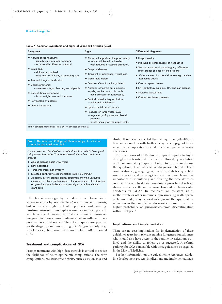#### **Table 1. Common symptoms and signs of giant cell arteritis (GCA)**

| <b>Symptoms</b>                                                                                                                                                                                                                                                                                                                                                                                                      | <b>Signs</b>                                                                                                                                                                                                                                                                                                                                                                                                                                                                                                                                                                              | <b>Differential diagnoses</b>                                                                                                                                                                                                                                                                                                                                            |
|----------------------------------------------------------------------------------------------------------------------------------------------------------------------------------------------------------------------------------------------------------------------------------------------------------------------------------------------------------------------------------------------------------------------|-------------------------------------------------------------------------------------------------------------------------------------------------------------------------------------------------------------------------------------------------------------------------------------------------------------------------------------------------------------------------------------------------------------------------------------------------------------------------------------------------------------------------------------------------------------------------------------------|--------------------------------------------------------------------------------------------------------------------------------------------------------------------------------------------------------------------------------------------------------------------------------------------------------------------------------------------------------------------------|
| • Abrupt onset headache:<br>- usually unilateral and temporal<br>- occasionally diffuse or bilateral.<br>• Scalp pain:<br>- diffuse or localised<br>- may lead to difficulty in combing hair<br>• Jaw and tongue claudication<br>• Visual symptoms:<br>- amaurosis fugax, blurring and diplopia<br>• Constitutional symptoms:<br>- fever, weight loss and tiredness<br>• Polymyalgic symptoms<br>• Limb claudication | • Abnormal superficial temporal artery:<br>- tender, thickened or beaded<br>- with reduced or absent pulsation.<br>• Scalp tenderness<br>• Transient or permanent visual loss<br>• Visual field defect<br>• Relative afferent papillary defect<br>• Anterior ischaemic optic neuritis:<br>- pale, swollen optic disc with<br>haemorrhages on fundoscopy.<br>• Central retinal artery occlusion:<br>- unilateral or bilateral.<br>• Upper cranial nerve palsies<br>• Features of large vessel GCA:<br>- asymmetry of pulses and blood<br>pressure<br>- bruits (usually of the upper limb). | • Herpes zoster<br>• Migraine or other causes of headaches<br>• Serious intracranial pathology eg infiltrative<br>retro-orbital or base of skull lesions<br>• Other causes of acute vision loss eg transient<br>ischaemic attack<br>• Cervical spine disease<br>• ENT pathology eg sinus, TMJ and ear disease<br>• Systemic vasculitides<br>• Connective tissue diseases |
| $TMJ = temporo-man dibular joint$ ; $ENT = ear$ nose and throat.                                                                                                                                                                                                                                                                                                                                                     |                                                                                                                                                                                                                                                                                                                                                                                                                                                                                                                                                                                           |                                                                                                                                                                                                                                                                                                                                                                          |

#### **Box 1.** The American College of Rheumatology classification criteria for giant cell arteritis.<sup>2</sup>

*For purposes of classification, a patient shall be said to have giant cell (temporal) arteritis if at least three of these five criteria are present.* 

- 1 Age at disease onset  $\geq 50$  years
- 2 New headache
- 3 Temporal artery abnormality
- 4 Elevated erythrocyte sedimentation rate > 50 mm/hr
- 5 Abnormal artery biopsy: biopsy specimen showing vasculitis characterised by a predominance of mononuclear cell infiltration or granulomatous inflammation, usually with multinucleated giant cells

Duplex ultrasonography can detect the characteristic appearance of a hypoechoic 'halo', occlusions and stenosis, but requires a high level of experience and training. Positron emission tomography scanning can pick up aortic and large vessel disease; and 3-tesla magnetic resonance imaging has shown mural enhancement in inflamed temporal and occipital arteries. These techniques show promise for the diagnosis and monitoring of GCA (particularly large vessel disease), but currently do not replace TAB for cranial GCA.

#### **Treatment and complications of GCA**

Prompt treatment with high-dose steroids is critical to reduce the likelihood of neuro-ophthalmic complications. The early complications are ischaemic deficits, such as vision loss and

stroke. If one eye is affected there is high risk (20–50%) of bilateral vision loss with further delay or stoppage of treatment. Late complications include the development of aortic aneurysms.

The symptoms of GCA should respond rapidly to highdose glucocorticosteroid treatment, followed by resolution of the inflammatory response. Failure to do so should raise the question of an alternative diagnosis. Steroid-related complications (eg weight gain, fractures, diabetes, hypertension, cataracts and bruising) are also common hence the importance of monitoring and titrating the dose down as soon as it is safe to do so. Low-dose aspirin has also been shown to decrease the rate of visual loss and cerebrovascular accidents in GCA.<sup>4</sup> In recurrent or resistant GCA, methotrexate or other immunosuppressives (eg azathioprine or leflunomide) may be used as adjuvant therapy to allow reduction in the cumulative glucocorticosteroid dose, or a higher probability of glucocorticosteroid discontinuation without relapse.<sup>5</sup>

#### **Implications and implementation**

There are no cost implications for implementation of these guidelines apart from relevant training for general practitioners who should also have access to the routine investigations outlined and the ability to follow up as suggested. A referral pathway for GCA compatible with these guidelines is suggested in the Map of Medicine.

Further information on the guidelines, ie references, guideline development process, implications and implementation, is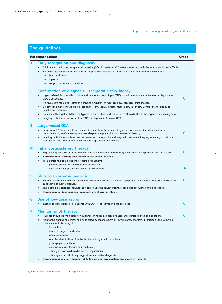### **The guidelines**

| <b>Early recognition and diagnosis</b><br>1<br>Clinicians should consider giant cell arteritis (GCA) in patients >50 years presenting with the symptoms listed in Table 1.<br>Particular attention should be paid to the predictive features of neuro-opthalmic complications which are:<br>jaw claudication<br>diplopia<br>temporal artery abnormalities.<br>$\overline{2}$<br>Confirmation of diagnosis – temporal artery biopsy<br>Urgent referral for specialist opinion and temporal artery biopsy (TAB) should be considered whenever a diagnosis of<br>C<br>GCA is suspected.<br>However, this should not delay the prompt institution of high-dose glucocorticosteroid therapy.<br>Biopsy specimens should be no less than 1 cm, ideally greater than 2 cm, in length. Contra-lateral biopsy is<br>usually not required.<br>Patients with negative TAB but a typical clinical picture and response to steroids should be regarded as having GCA.<br>Imaging techniques do not replace TAB for diagnosis of cranial GCA.<br>3<br><b>Large vessel GCA</b><br>Large vessel GCA should be suspected in patients with prominent systemic symptoms, limb claudication or<br>C<br>persistently high-inflammatory markers despite adequate glucocorticosteroid therapy.<br>Imaging techniques, such as positron emission tomography and magnetic resonance imaging scanning, should be<br>reserved for the assessment of suspected large vessel involvement<br>Initial corticosteroid therapy<br>4<br>C<br>High-dose glucocorticosteroid therapy should be initiated immediately when clinical suspicion of GCA is raised.<br>$\bullet$<br>Recommended starting dose regimens are shown in Table 2.<br>To minimise the complications of steroid treatment:<br>$\bullet$<br>patients should also receive bone protection<br>gastrointestinal protection should be considered.<br><b>Glucocorticosteroid reduction</b><br>5 |   |
|---------------------------------------------------------------------------------------------------------------------------------------------------------------------------------------------------------------------------------------------------------------------------------------------------------------------------------------------------------------------------------------------------------------------------------------------------------------------------------------------------------------------------------------------------------------------------------------------------------------------------------------------------------------------------------------------------------------------------------------------------------------------------------------------------------------------------------------------------------------------------------------------------------------------------------------------------------------------------------------------------------------------------------------------------------------------------------------------------------------------------------------------------------------------------------------------------------------------------------------------------------------------------------------------------------------------------------------------------------------------------------------------------------------------------------------------------------------------------------------------------------------------------------------------------------------------------------------------------------------------------------------------------------------------------------------------------------------------------------------------------------------------------------------------------------------------------------------------------------------------------------------------------------------------------|---|
|                                                                                                                                                                                                                                                                                                                                                                                                                                                                                                                                                                                                                                                                                                                                                                                                                                                                                                                                                                                                                                                                                                                                                                                                                                                                                                                                                                                                                                                                                                                                                                                                                                                                                                                                                                                                                                                                                                                           | C |
|                                                                                                                                                                                                                                                                                                                                                                                                                                                                                                                                                                                                                                                                                                                                                                                                                                                                                                                                                                                                                                                                                                                                                                                                                                                                                                                                                                                                                                                                                                                                                                                                                                                                                                                                                                                                                                                                                                                           |   |
|                                                                                                                                                                                                                                                                                                                                                                                                                                                                                                                                                                                                                                                                                                                                                                                                                                                                                                                                                                                                                                                                                                                                                                                                                                                                                                                                                                                                                                                                                                                                                                                                                                                                                                                                                                                                                                                                                                                           |   |
|                                                                                                                                                                                                                                                                                                                                                                                                                                                                                                                                                                                                                                                                                                                                                                                                                                                                                                                                                                                                                                                                                                                                                                                                                                                                                                                                                                                                                                                                                                                                                                                                                                                                                                                                                                                                                                                                                                                           | A |
| C<br>Steroid reduction should be considered only in the absence of clinical symptoms, signs and laboratory abnormalities<br>suggestive of active disease.<br>This should be balanced against the need to use the lowest effective dose, patient wishes and side-effects.<br>Recommended dose reduction regimens are shown in Table 2.                                                                                                                                                                                                                                                                                                                                                                                                                                                                                                                                                                                                                                                                                                                                                                                                                                                                                                                                                                                                                                                                                                                                                                                                                                                                                                                                                                                                                                                                                                                                                                                     |   |
| Use of low-dose aspirin<br>6<br>C<br>Should be considered in all patients with GCA, if no contra-indications exist.                                                                                                                                                                                                                                                                                                                                                                                                                                                                                                                                                                                                                                                                                                                                                                                                                                                                                                                                                                                                                                                                                                                                                                                                                                                                                                                                                                                                                                                                                                                                                                                                                                                                                                                                                                                                       |   |
| <b>Monitoring of therapy</b><br>7<br>C<br>Patients should be monitored for evidence of relapse, disease-related and steroid-related complications.<br>Monitoring should be clinical and supported by measurement of inflammatory markers. In particular the following<br>features should be sought:<br>headaches<br>jaw and tongue claudication<br>visual symptoms<br>vascular claudication of limbs, bruits and asymmetrical pulses<br>polymyalgic symptoms<br>osteoporotic risk factors and fractures<br>other glucocorticosteroid-related complications<br>other symptoms that may suggest an alternative diagnosis.<br>Recommendations for frequency of follow-up and investigation are shown in Table 2.                                                                                                                                                                                                                                                                                                                                                                                                                                                                                                                                                                                                                                                                                                                                                                                                                                                                                                                                                                                                                                                                                                                                                                                                             |   |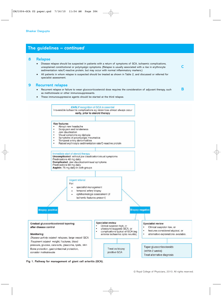### **The guidelines –** *continued*



- Disease relapse should be suspected in patients with a return of symptoms of GCA, ischaemic complications, unexplained constitutional or polymyalgic symptoms. (Relapse is usually associated with a rise in erythrocyte **C** sedimentation rate/C-reactive protein, but may occur with normal inflammatory markers.)
- All patients in whom relapse is suspected should be treated as shown in Table 2, and discussed or referred for specialist assessment.

#### **9 Recurrent relapse**

- Recurrent relapse or failure to wean glucocorticosteroid dose requires the consideration of adjuvant therapy, such **B** as methotrexate or other immunosuppressants.
- These immunosuppressive agents should be started at the third relapse.



**Fig 1. Pathway for management of giant cell arteritis (GCA).**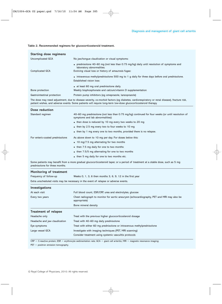| <b>Starting dose regimens</b> |                                                                                                                        |
|-------------------------------|------------------------------------------------------------------------------------------------------------------------|
| Uncomplicated GCA             | No jaw/tonque claudication or visual symptoms:                                                                         |
|                               | • prednisolone 40–60 mg (not less than 0.75 mg/kg) daily until resolution of symptoms and<br>laboratory abnormalities. |
| <b>Complicated GCA</b>        | Evolving visual loss or history of amaurosis fugax:                                                                    |
|                               | • intravenous methylprednisolone 500 mg to 1 g daily for three days before oral prednisolone.                          |
|                               | <b>Established vision loss:</b>                                                                                        |
|                               | • at least 60 mg oral prednisolone daily.                                                                              |
| Bone protection               | Weekly bisphosphonate and calcium/vitamin D supplementation                                                            |
| Gastrointestinal protection   | Protein pump inhibitors (eq omeprazole, lanzoprazole)                                                                  |
|                               |                                                                                                                        |

#### **Table 2. Recommended regimens for glucocorticosteroid treatment.**

The dose may need adjustment, due to disease severity, co-morbid factors (eg diabetes, cardiorespiratory or renal disease), fracture risk, patient wishes, and adverse events. Some patients will require long-term low-dose glucocorticosteroid therapy.

| Dose reduction                  |                                                                                                                                       |
|---------------------------------|---------------------------------------------------------------------------------------------------------------------------------------|
| Standard regimen                | 40–60 mg prednisolone (not less than 0.75 mg/kg) continued for four weeks (or until resolution of<br>symptoms and lab abnormalities): |
|                                 | • then dose is reduced by 10 mg every two weeks to 20 mg                                                                              |
|                                 | • then by 2.5 mg every two to four weeks to 10 mg                                                                                     |
|                                 | • then by 1 mg every one to two months, provided there is no relapse.                                                                 |
| For enteric-coated prednisolone | As above down to 10 mg per day. For doses below this:                                                                                 |
|                                 | $\bullet$ 10 mg/7.5 mg alternating for two months                                                                                     |
|                                 | • then 7.5 mg daily for one to two months                                                                                             |
|                                 | • then 7.5/5 mg alternating for one to two months                                                                                     |
|                                 | • then 5 mg daily for one to two months etc.                                                                                          |

Some patients may benefit from a more gradual glucocorticosteroid taper, or a period of treatment at a stable dose, such as 5 mg prednisolone for three months.

| Monitoring of treatment                                                              |                                                                                                            |  |
|--------------------------------------------------------------------------------------|------------------------------------------------------------------------------------------------------------|--|
| Frequency of follow-up                                                               | Weeks 0, 1, 3, 6 then months 3, 6, 9, 12 in the first year                                                 |  |
| Extra unscheduled visits may be necessary in the event of relapse or adverse events. |                                                                                                            |  |
| Investigations                                                                       |                                                                                                            |  |
| At each visit                                                                        | Full blood count, ESR/CRP, urea and electrolytes, glucose                                                  |  |
| Every two years                                                                      | Chest radiograph to monitor for aortic aneurysm (echocardiography, PET and MRI may also be<br>appropriate) |  |
|                                                                                      | Bone mineral density                                                                                       |  |
| <b>Treatment of relapse</b>                                                          |                                                                                                            |  |
| Headache only                                                                        | Treat with the previous higher glucocorticosteroid dosage                                                  |  |
| Headache and jaw claudication                                                        | Treat with 40–60 mg daily prednisolone                                                                     |  |
| Eye symptoms                                                                         | Treat with either 60 mg prednisolone or intravenous methylprednisolone                                     |  |
| Large vessel GCA                                                                     | Investigate with imaging techniques (PET, MRI scanning)                                                    |  |
|                                                                                      | Consider treatment using systemic vasculitis protocols                                                     |  |

 $CRP = C\text{-reactive protein; ESR} = \text{erythrocyte sedimentation rate; GCA} = \text{giant cell arteritis; MRI} = \text{magnetic resonance imaging};$ 

 $PET =$  positron emission tomography.